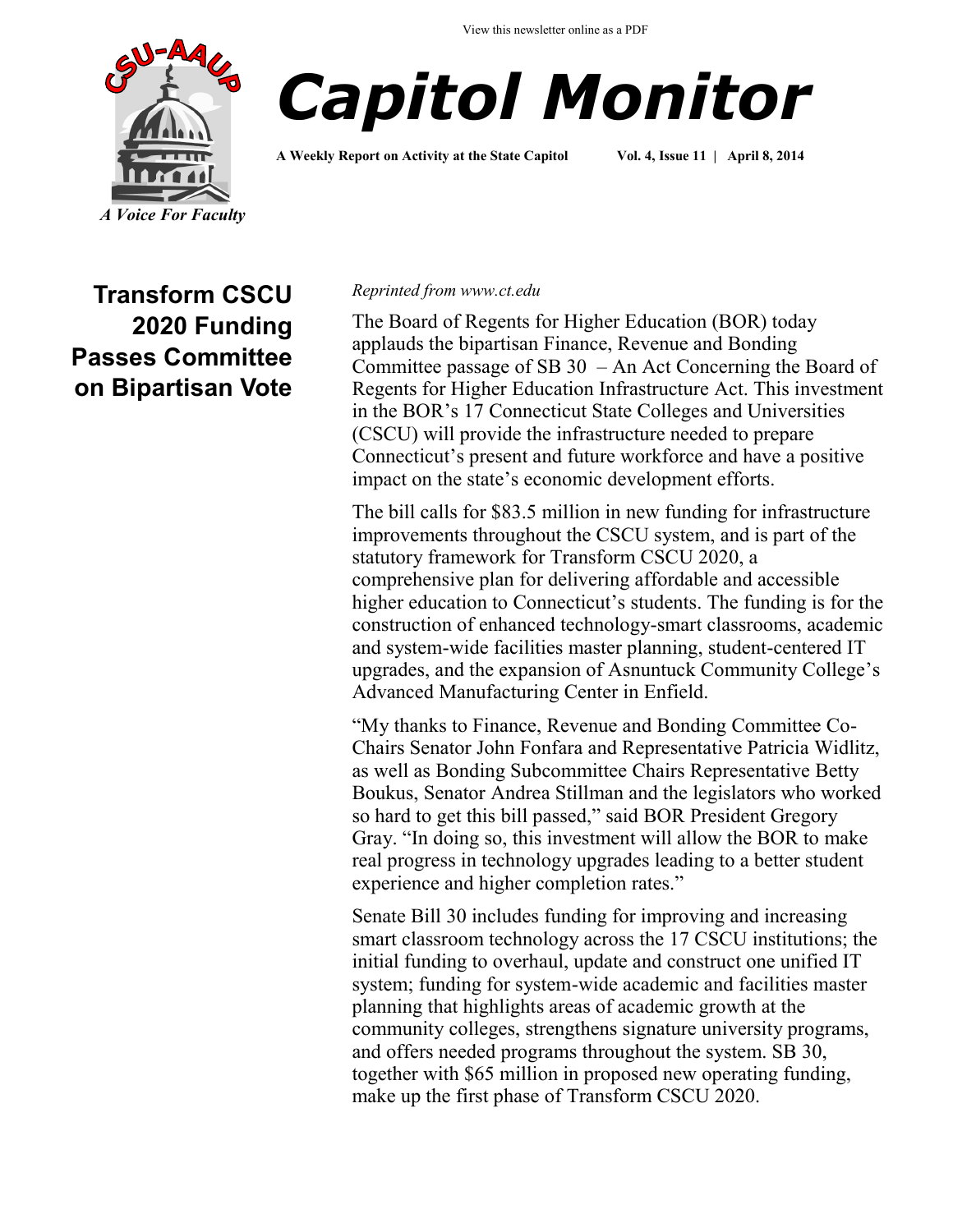



**A Weekly Report on Activity at the State Capitol Vol. 4, Issue 11 | April 8, 2014**

# **Transform CSCU 2020 Funding Passes Committee on Bipartisan Vote**

#### *Reprinted from www.ct.edu*

The Board of Regents for Higher Education (BOR) today applauds the bipartisan Finance, Revenue and Bonding Committee passage of SB 30 – An Act Concerning the Board of Regents for Higher Education Infrastructure Act. This investment in the BOR's 17 Connecticut State Colleges and Universities (CSCU) will provide the infrastructure needed to prepare Connecticut's present and future workforce and have a positive impact on the state's economic development efforts.

The bill calls for \$83.5 million in new funding for infrastructure improvements throughout the CSCU system, and is part of the statutory framework for Transform CSCU 2020, a comprehensive plan for delivering affordable and accessible higher education to Connecticut's students. The funding is for the construction of enhanced technology-smart classrooms, academic and system-wide facilities master planning, student-centered IT upgrades, and the expansion of Asnuntuck Community College's Advanced Manufacturing Center in Enfield.

"My thanks to Finance, Revenue and Bonding Committee Co-Chairs Senator John Fonfara and Representative Patricia Widlitz, as well as Bonding Subcommittee Chairs Representative Betty Boukus, Senator Andrea Stillman and the legislators who worked so hard to get this bill passed," said BOR President Gregory Gray. "In doing so, this investment will allow the BOR to make real progress in technology upgrades leading to a better student experience and higher completion rates."

Senate Bill 30 includes funding for improving and increasing smart classroom technology across the 17 CSCU institutions; the initial funding to overhaul, update and construct one unified IT system; funding for system-wide academic and facilities master planning that highlights areas of academic growth at the community colleges, strengthens signature university programs, and offers needed programs throughout the system. SB 30, together with \$65 million in proposed new operating funding, make up the first phase of Transform CSCU 2020.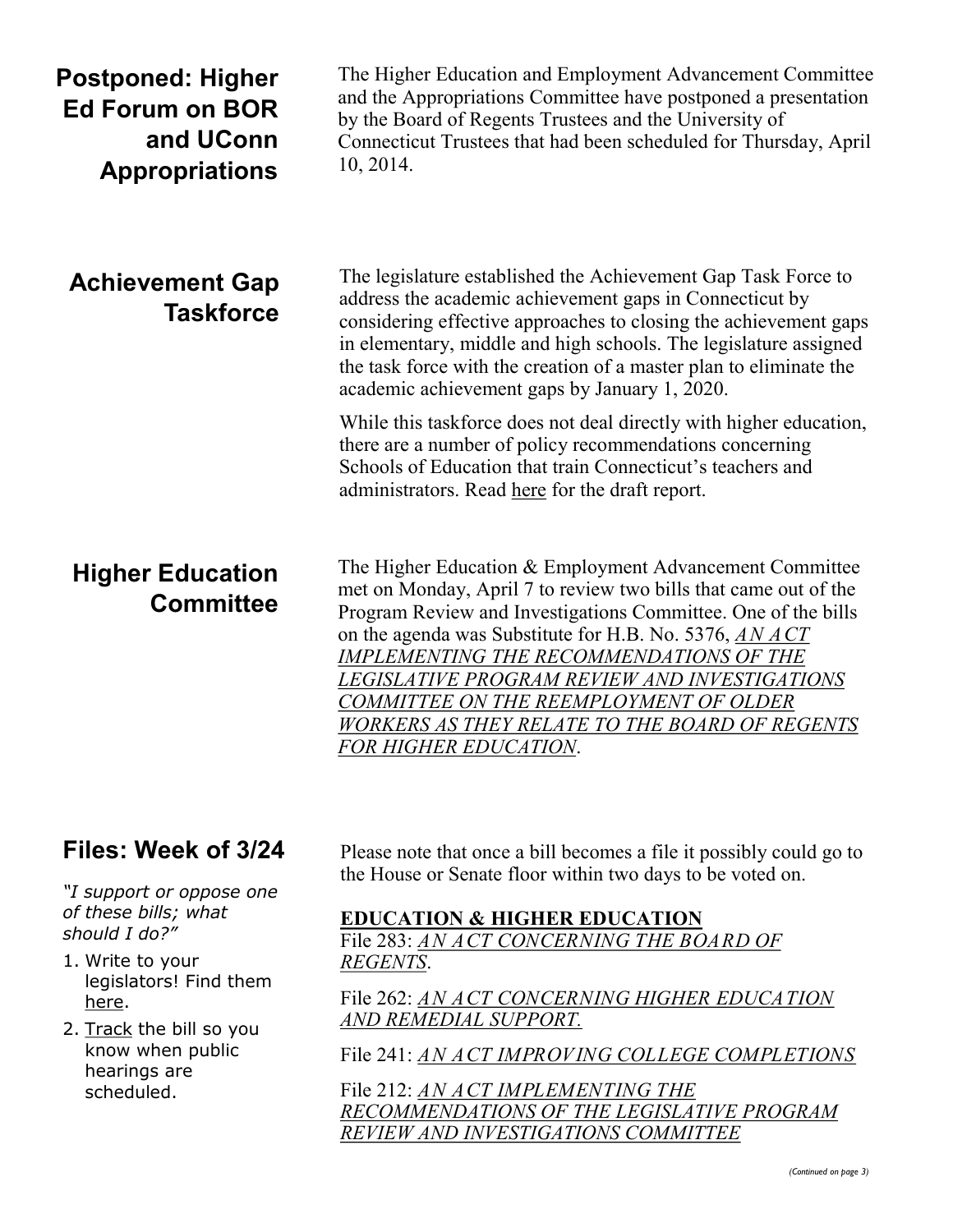| <b>Postponed: Higher</b><br><b>Ed Forum on BOR</b><br>and UConn<br><b>Appropriations</b> | The Higher Education and Employment Advancement Committee<br>and the Appropriations Committee have postponed a presentation<br>by the Board of Regents Trustees and the University of<br>Connecticut Trustees that had been scheduled for Thursday, April<br>10, 2014.                                                                                                                                                                                                                                                                                                                                                                    |
|------------------------------------------------------------------------------------------|-------------------------------------------------------------------------------------------------------------------------------------------------------------------------------------------------------------------------------------------------------------------------------------------------------------------------------------------------------------------------------------------------------------------------------------------------------------------------------------------------------------------------------------------------------------------------------------------------------------------------------------------|
| <b>Achievement Gap</b><br><b>Taskforce</b>                                               | The legislature established the Achievement Gap Task Force to<br>address the academic achievement gaps in Connecticut by<br>considering effective approaches to closing the achievement gaps<br>in elementary, middle and high schools. The legislature assigned<br>the task force with the creation of a master plan to eliminate the<br>academic achievement gaps by January 1, 2020.<br>While this taskforce does not deal directly with higher education,<br>there are a number of policy recommendations concerning<br>Schools of Education that train Connecticut's teachers and<br>administrators. Read here for the draft report. |
| <b>Higher Education</b><br><b>Committee</b>                                              | The Higher Education & Employment Advancement Committee<br>met on Monday, April 7 to review two bills that came out of the<br>Program Review and Investigations Committee. One of the bills<br>on the agenda was Substitute for H.B. No. 5376, ANACT<br><b>IMPLEMENTING THE RECOMMENDATIONS OF THE</b><br>LEGISLATIVE PROGRAM REVIEW AND INVESTIGATIONS<br>COMMITTEE ON THE REEMPLOYMENT OF OLDER<br>WORKERS AS THEY RELATE TO THE BOARD OF REGENTS                                                                                                                                                                                       |

*[FOR HIGHER EDUCATION](http://www.cga.ct.gov/asp/cgabillstatus/cgabillstatus.asp?selBillType=Bill&bill_num=5376&which_year=2014&SUBMIT1.x=0&SUBMIT1.y=0&SUBMIT1=Normal)*.

### **Files: Week of 3/24**

*"I support or oppose one of these bills; what should I do?"*

- 1. Write to your legislators! Find them [here.](http://www.cga.ct.gov/asp/menu/CGAFindLeg.asp)
- 2. [Track](http://www.cga.ct.gov/aspx/CGAPublicBillTrack/Register.aspx) the bill so you know when public hearings are scheduled.

Please note that once a bill becomes a file it possibly could go to the House or Senate floor within two days to be voted on.

### **EDUCATION & HIGHER EDUCATION**

File 283: *[AN ACT CONCERNING THE BOARD OF](http://www.cga.ct.gov/asp/cgabillstatus/cgabillstatus.asp?selBillType=File+Copy&bill_num=283&which_year=2014&SUBMIT1.x=0&SUBMIT1.y=0&SUBMIT1=Normal)  [REGENTS](http://www.cga.ct.gov/asp/cgabillstatus/cgabillstatus.asp?selBillType=File+Copy&bill_num=283&which_year=2014&SUBMIT1.x=0&SUBMIT1.y=0&SUBMIT1=Normal)*.

File 262: *[AN ACT CONCERNING HIGHER EDUCATION](http://www.cga.ct.gov/asp/cgabillstatus/cgabillstatus.asp?selBillType=File+Copy&bill_num=262&which_year=2014&SUBMIT1.x=17&SUBMIT1.y=10&SUBMIT1=Normal)  [AND REMEDIAL SUPPORT.](http://www.cga.ct.gov/asp/cgabillstatus/cgabillstatus.asp?selBillType=File+Copy&bill_num=262&which_year=2014&SUBMIT1.x=17&SUBMIT1.y=10&SUBMIT1=Normal)*

File 241: *[AN ACT IMPROVING COLLEGE COMPLETIONS](http://www.cga.ct.gov/asp/cgabillstatus/cgabillstatus.asp?selBillType=File+Copy&bill_num=241&which_year=2014&SUBMIT1.x=0&SUBMIT1.y=0&SUBMIT1=Normal)*

File 212: *[AN ACT IMPLEMENTING THE](http://www.cga.ct.gov/asp/cgabillstatus/cgabillstatus.asp?selBillType=File+Copy&bill_num=212&which_year=2014&SUBMIT1.x=0&SUBMIT1.y=0&SUBMIT1=Normal)  [RECOMMENDATIONS OF THE LEGISLATIVE PROGRAM](http://www.cga.ct.gov/asp/cgabillstatus/cgabillstatus.asp?selBillType=File+Copy&bill_num=212&which_year=2014&SUBMIT1.x=0&SUBMIT1.y=0&SUBMIT1=Normal)  [REVIEW AND INVESTIGATIONS COMMITTEE](http://www.cga.ct.gov/asp/cgabillstatus/cgabillstatus.asp?selBillType=File+Copy&bill_num=212&which_year=2014&SUBMIT1.x=0&SUBMIT1.y=0&SUBMIT1=Normal)*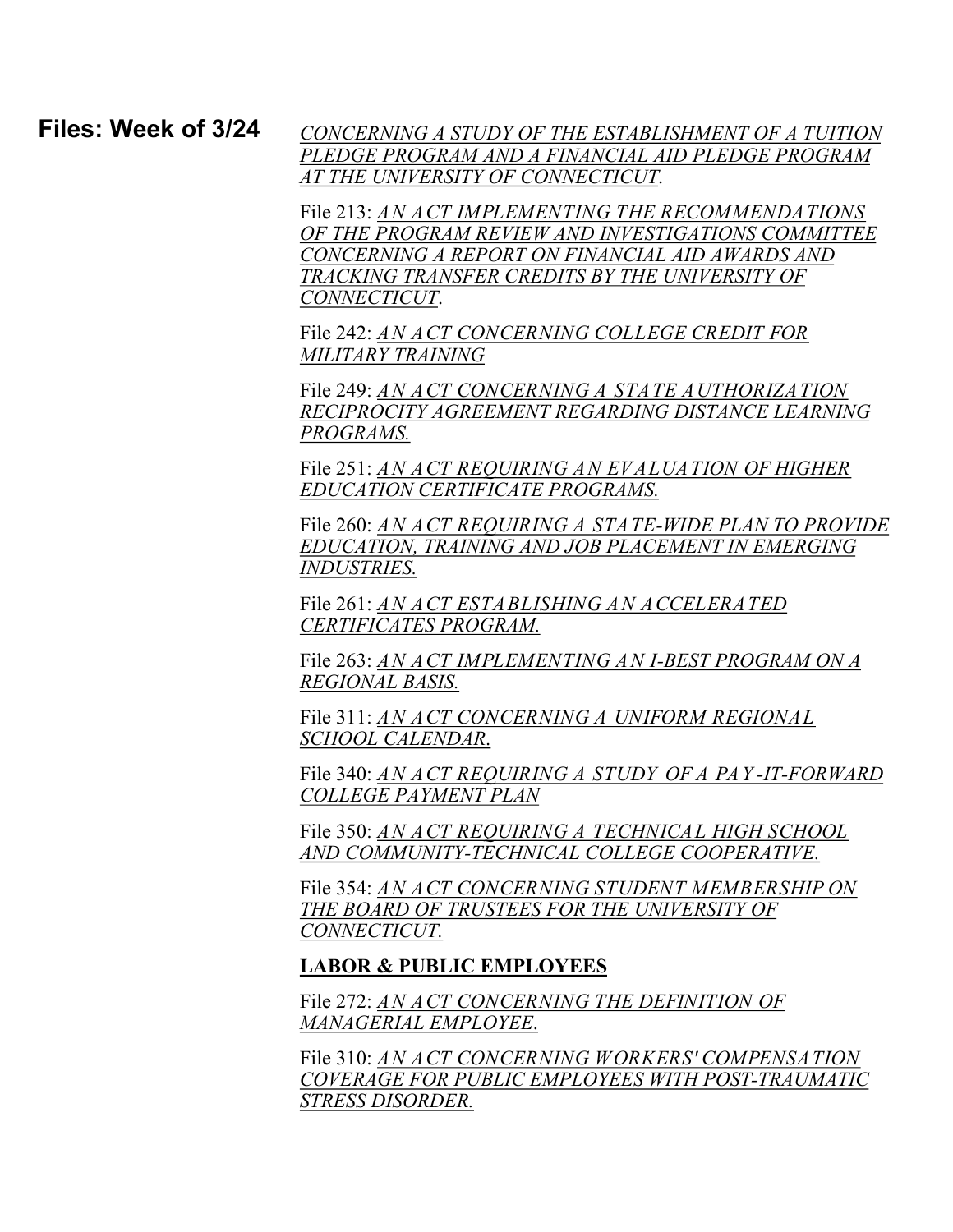*[CONCERNING A STUDY OF THE ESTABLISHMENT OF A TUITION](http://www.cga.ct.gov/asp/cgabillstatus/cgabillstatus.asp?selBillType=File+Copy&bill_num=212&which_year=2014&SUBMIT1.x=0&SUBMIT1.y=0&SUBMIT1=Normal)  [PLEDGE PROGRAM AND A FINANCIAL AID PLEDGE PROGRAM](http://www.cga.ct.gov/asp/cgabillstatus/cgabillstatus.asp?selBillType=File+Copy&bill_num=212&which_year=2014&SUBMIT1.x=0&SUBMIT1.y=0&SUBMIT1=Normal)  [AT THE UNIVERSITY OF CONNECTICUT](http://www.cga.ct.gov/asp/cgabillstatus/cgabillstatus.asp?selBillType=File+Copy&bill_num=212&which_year=2014&SUBMIT1.x=0&SUBMIT1.y=0&SUBMIT1=Normal)*. **Files: Week of 3/24**

> File 213: *[AN ACT IMPLEMENTING THE RECOMMENDATIONS](http://www.cga.ct.gov/asp/cgabillstatus/cgabillstatus.asp?selBillType=File+Copy&bill_num=213&which_year=2014&SUBMIT1.x=0&SUBMIT1.y=0&SUBMIT1=Normal)  [OF THE PROGRAM REVIEW AND INVESTIGATIONS COMMITTEE](http://www.cga.ct.gov/asp/cgabillstatus/cgabillstatus.asp?selBillType=File+Copy&bill_num=213&which_year=2014&SUBMIT1.x=0&SUBMIT1.y=0&SUBMIT1=Normal)  [CONCERNING A REPORT ON FINANCIAL AID AWARDS AND](http://www.cga.ct.gov/asp/cgabillstatus/cgabillstatus.asp?selBillType=File+Copy&bill_num=213&which_year=2014&SUBMIT1.x=0&SUBMIT1.y=0&SUBMIT1=Normal)  [TRACKING TRANSFER CREDITS BY THE UNIVERSITY OF](http://www.cga.ct.gov/asp/cgabillstatus/cgabillstatus.asp?selBillType=File+Copy&bill_num=213&which_year=2014&SUBMIT1.x=0&SUBMIT1.y=0&SUBMIT1=Normal)  [CONNECTICUT](http://www.cga.ct.gov/asp/cgabillstatus/cgabillstatus.asp?selBillType=File+Copy&bill_num=213&which_year=2014&SUBMIT1.x=0&SUBMIT1.y=0&SUBMIT1=Normal)*.

File 242: *[AN ACT CONCERNING COLLEGE CREDIT FOR](http://www.cga.ct.gov/asp/cgabillstatus/cgabillstatus.asp?selBillType=File+Copy&bill_num=242&which_year=2014&SUBMIT1.x=0&SUBMIT1.y=0&SUBMIT1=Normal)  [MILITARY TRAINING](http://www.cga.ct.gov/asp/cgabillstatus/cgabillstatus.asp?selBillType=File+Copy&bill_num=242&which_year=2014&SUBMIT1.x=0&SUBMIT1.y=0&SUBMIT1=Normal)*

File 249: *[AN ACT CONCERNING A STATE AUTHORIZATION](http://www.cga.ct.gov/asp/cgabillstatus/cgabillstatus.asp?selBillType=File+Copy&bill_num=249&which_year=2014&SUBMIT1.x=0&SUBMIT1.y=0&SUBMIT1=Normal)  [RECIPROCITY AGREEMENT REGARDING DISTANCE LEARNING](http://www.cga.ct.gov/asp/cgabillstatus/cgabillstatus.asp?selBillType=File+Copy&bill_num=249&which_year=2014&SUBMIT1.x=0&SUBMIT1.y=0&SUBMIT1=Normal)  [PROGRAMS.](http://www.cga.ct.gov/asp/cgabillstatus/cgabillstatus.asp?selBillType=File+Copy&bill_num=249&which_year=2014&SUBMIT1.x=0&SUBMIT1.y=0&SUBMIT1=Normal)*

File 251: *[AN ACT REQUIRING AN EVALUATION OF HIGHER](http://www.cga.ct.gov/asp/cgabillstatus/cgabillstatus.asp?selBillType=File+Copy&bill_num=251&which_year=2014&SUBMIT1.x=0&SUBMIT1.y=0&SUBMIT1=Normal)  [EDUCATION CERTIFICATE PROGRAMS.](http://www.cga.ct.gov/asp/cgabillstatus/cgabillstatus.asp?selBillType=File+Copy&bill_num=251&which_year=2014&SUBMIT1.x=0&SUBMIT1.y=0&SUBMIT1=Normal)*

File 260: *[AN ACT REQUIRING A STATE](http://www.cga.ct.gov/asp/cgabillstatus/cgabillstatus.asp?selBillType=File+Copy&bill_num=260&which_year=2014&SUBMIT1.x=0&SUBMIT1.y=0&SUBMIT1=Normal)-WIDE PLAN TO PROVIDE [EDUCATION, TRAINING AND JOB PLACEMENT IN EMERGING](http://www.cga.ct.gov/asp/cgabillstatus/cgabillstatus.asp?selBillType=File+Copy&bill_num=260&which_year=2014&SUBMIT1.x=0&SUBMIT1.y=0&SUBMIT1=Normal)  [INDUSTRIES.](http://www.cga.ct.gov/asp/cgabillstatus/cgabillstatus.asp?selBillType=File+Copy&bill_num=260&which_year=2014&SUBMIT1.x=0&SUBMIT1.y=0&SUBMIT1=Normal)*

File 261: *[AN ACT ESTABLISHING AN ACCELERATED](http://www.cga.ct.gov/asp/cgabillstatus/cgabillstatus.asp?selBillType=File+Copy&bill_num=261&which_year=2014&SUBMIT1.x=0&SUBMIT1.y=0&SUBMIT1=Normal)  [CERTIFICATES PROGRAM.](http://www.cga.ct.gov/asp/cgabillstatus/cgabillstatus.asp?selBillType=File+Copy&bill_num=261&which_year=2014&SUBMIT1.x=0&SUBMIT1.y=0&SUBMIT1=Normal)*

File 263: *[AN ACT IMPLEMENTING AN I](http://www.cga.ct.gov/asp/cgabillstatus/cgabillstatus.asp?selBillType=File+Copy&bill_num=263&which_year=2014&SUBMIT1.x=6&SUBMIT1.y=16&SUBMIT1=Normal)-BEST PROGRAM ON A [REGIONAL BASIS.](http://www.cga.ct.gov/asp/cgabillstatus/cgabillstatus.asp?selBillType=File+Copy&bill_num=263&which_year=2014&SUBMIT1.x=6&SUBMIT1.y=16&SUBMIT1=Normal)*

File 311: *[AN ACT CONCERNING A UNIFORM REGIONAL](http://www.cga.ct.gov/asp/cgabillstatus/cgabillstatus.asp?selBillType=File+Copy&bill_num=311&which_year=2014&SUBMIT1.x=0&SUBMIT1.y=0&SUBMIT1=Normal)  [SCHOOL CALENDAR](http://www.cga.ct.gov/asp/cgabillstatus/cgabillstatus.asp?selBillType=File+Copy&bill_num=311&which_year=2014&SUBMIT1.x=0&SUBMIT1.y=0&SUBMIT1=Normal)*.

File 340: *[AN ACT REQUIRING A STUDY OF A PAY](http://www.cga.ct.gov/asp/cgabillstatus/cgabillstatus.asp?selBillType=File+Copy&bill_num=340&which_year=2014&SUBMIT1.x=0&SUBMIT1.y=0&SUBMIT1=Normal) -IT-FORWARD [COLLEGE PAYMENT PLAN](http://www.cga.ct.gov/asp/cgabillstatus/cgabillstatus.asp?selBillType=File+Copy&bill_num=340&which_year=2014&SUBMIT1.x=0&SUBMIT1.y=0&SUBMIT1=Normal)*

File 350: *[AN ACT REQUIRING A TECHNICAL HIGH SCHOOL](http://www.cga.ct.gov/asp/cgabillstatus/cgabillstatus.asp?selBillType=File+Copy&bill_num=350&which_year=2014&SUBMIT1.x=0&SUBMIT1.y=0&SUBMIT1=Normal)  AND COMMUNITY-[TECHNICAL COLLEGE COOPERATIVE.](http://www.cga.ct.gov/asp/cgabillstatus/cgabillstatus.asp?selBillType=File+Copy&bill_num=350&which_year=2014&SUBMIT1.x=0&SUBMIT1.y=0&SUBMIT1=Normal)*

File 354: *[AN ACT CONCERNING STUDENT MEMBERSHIP ON](http://www.cga.ct.gov/asp/cgabillstatus/cgabillstatus.asp?selBillType=File+Copy&bill_num=354&which_year=2014&SUBMIT1.x=0&SUBMIT1.y=0&SUBMIT1=Normal)  [THE BOARD OF TRUSTEES FOR THE UNIVERSITY OF](http://www.cga.ct.gov/asp/cgabillstatus/cgabillstatus.asp?selBillType=File+Copy&bill_num=354&which_year=2014&SUBMIT1.x=0&SUBMIT1.y=0&SUBMIT1=Normal)  [CONNECTICUT.](http://www.cga.ct.gov/asp/cgabillstatus/cgabillstatus.asp?selBillType=File+Copy&bill_num=354&which_year=2014&SUBMIT1.x=0&SUBMIT1.y=0&SUBMIT1=Normal)*

#### **LABOR & PUBLIC EMPLOYEES**

File 272: *[AN ACT CONCERNING THE DEFINITION OF](http://www.cga.ct.gov/asp/cgabillstatus/cgabillstatus.asp?selBillType=File+Copy&bill_num=272&which_year=2014&SUBMIT1.x=0&SUBMIT1.y=0&SUBMIT1=Normal)  [MANAGERIAL EMPLOYEE](http://www.cga.ct.gov/asp/cgabillstatus/cgabillstatus.asp?selBillType=File+Copy&bill_num=272&which_year=2014&SUBMIT1.x=0&SUBMIT1.y=0&SUBMIT1=Normal)*.

File 310: *[AN ACT CONCERNING WORKERS' COMPENSATION](http://www.cga.ct.gov/asp/cgabillstatus/cgabillstatus.asp?selBillType=File+Copy&bill_num=310&which_year=2014&SUBMIT1.x=7&SUBMIT1.y=9&SUBMIT1=Normal)  [COVERAGE FOR PUBLIC EMPLOYEES WITH POST](http://www.cga.ct.gov/asp/cgabillstatus/cgabillstatus.asp?selBillType=File+Copy&bill_num=310&which_year=2014&SUBMIT1.x=7&SUBMIT1.y=9&SUBMIT1=Normal)-TRAUMATIC [STRESS DISORDER.](http://www.cga.ct.gov/asp/cgabillstatus/cgabillstatus.asp?selBillType=File+Copy&bill_num=310&which_year=2014&SUBMIT1.x=7&SUBMIT1.y=9&SUBMIT1=Normal)*